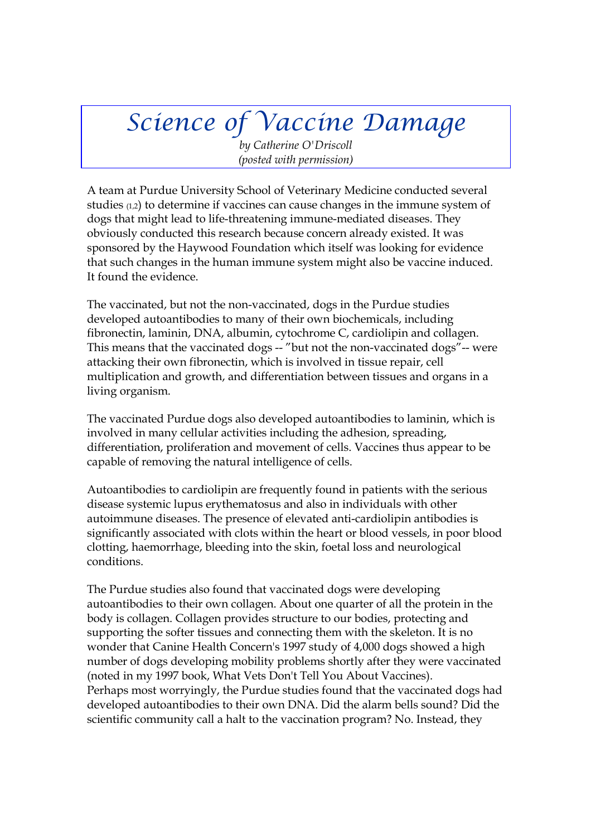# *Science of Vaccine Damage*

*by Catherine O'Driscoll (posted with permission)*

A team at Purdue University School of Veterinary Medicine conducted several studies (1,2) to determine if vaccines can cause changes in the immune system of dogs that might lead to life-threatening immune-mediated diseases. They obviously conducted this research because concern already existed. It was sponsored by the Haywood Foundation which itself was looking for evidence that such changes in the human immune system might also be vaccine induced. It found the evidence.

The vaccinated, but not the non-vaccinated, dogs in the Purdue studies developed autoantibodies to many of their own biochemicals, including fibronectin, laminin, DNA, albumin, cytochrome C, cardiolipin and collagen. This means that the vaccinated dogs -- "but not the non-vaccinated dogs"-- were attacking their own fibronectin, which is involved in tissue repair, cell multiplication and growth, and differentiation between tissues and organs in a living organism.

The vaccinated Purdue dogs also developed autoantibodies to laminin, which is involved in many cellular activities including the adhesion, spreading, differentiation, proliferation and movement of cells. Vaccines thus appear to be capable of removing the natural intelligence of cells.

Autoantibodies to cardiolipin are frequently found in patients with the serious disease systemic lupus erythematosus and also in individuals with other autoimmune diseases. The presence of elevated anti-cardiolipin antibodies is significantly associated with clots within the heart or blood vessels, in poor blood clotting, haemorrhage, bleeding into the skin, foetal loss and neurological conditions.

The Purdue studies also found that vaccinated dogs were developing autoantibodies to their own collagen. About one quarter of all the protein in the body is collagen. Collagen provides structure to our bodies, protecting and supporting the softer tissues and connecting them with the skeleton. It is no wonder that Canine Health Concern's 1997 study of 4,000 dogs showed a high number of dogs developing mobility problems shortly after they were vaccinated (noted in my 1997 book, What Vets Don't Tell You About Vaccines). Perhaps most worryingly, the Purdue studies found that the vaccinated dogs had developed autoantibodies to their own DNA. Did the alarm bells sound? Did the scientific community call a halt to the vaccination program? No. Instead, they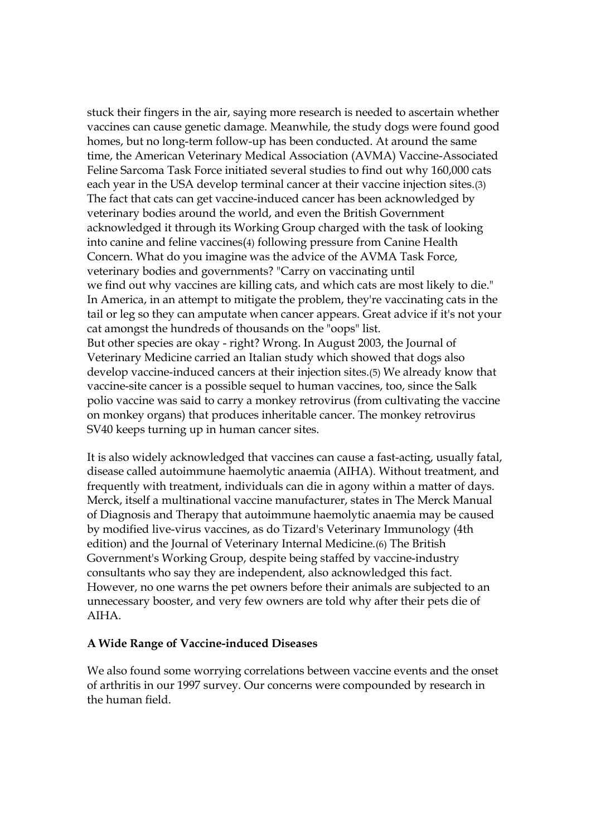stuck their fingers in the air, saying more research is needed to ascertain whether vaccines can cause genetic damage. Meanwhile, the study dogs were found good homes, but no long-term follow-up has been conducted. At around the same time, the American Veterinary Medical Association (AVMA) Vaccine-Associated Feline Sarcoma Task Force initiated several studies to find out why 160,000 cats each year in the USA develop terminal cancer at their vaccine injection sites.(3) The fact that cats can get vaccine-induced cancer has been acknowledged by veterinary bodies around the world, and even the British Government acknowledged it through its Working Group charged with the task of looking into canine and feline vaccines(4) following pressure from Canine Health Concern. What do you imagine was the advice of the AVMA Task Force, veterinary bodies and governments? "Carry on vaccinating until we find out why vaccines are killing cats, and which cats are most likely to die." In America, in an attempt to mitigate the problem, they're vaccinating cats in the tail or leg so they can amputate when cancer appears. Great advice if it's not your cat amongst the hundreds of thousands on the "oops" list. But other species are okay - right? Wrong. In August 2003, the Journal of Veterinary Medicine carried an Italian study which showed that dogs also develop vaccine-induced cancers at their injection sites.(5) We already know that vaccine-site cancer is a possible sequel to human vaccines, too, since the Salk polio vaccine was said to carry a monkey retrovirus (from cultivating the vaccine on monkey organs) that produces inheritable cancer. The monkey retrovirus SV40 keeps turning up in human cancer sites.

It is also widely acknowledged that vaccines can cause a fast-acting, usually fatal, disease called autoimmune haemolytic anaemia (AIHA). Without treatment, and frequently with treatment, individuals can die in agony within a matter of days. Merck, itself a multinational vaccine manufacturer, states in The Merck Manual of Diagnosis and Therapy that autoimmune haemolytic anaemia may be caused by modified live-virus vaccines, as do Tizard's Veterinary Immunology (4th edition) and the Journal of Veterinary Internal Medicine.(6) The British Government's Working Group, despite being staffed by vaccine-industry consultants who say they are independent, also acknowledged this fact. However, no one warns the pet owners before their animals are subjected to an unnecessary booster, and very few owners are told why after their pets die of AIHA.

#### **A Wide Range of Vaccine-induced Diseases**

We also found some worrying correlations between vaccine events and the onset of arthritis in our 1997 survey. Our concerns were compounded by research in the human field.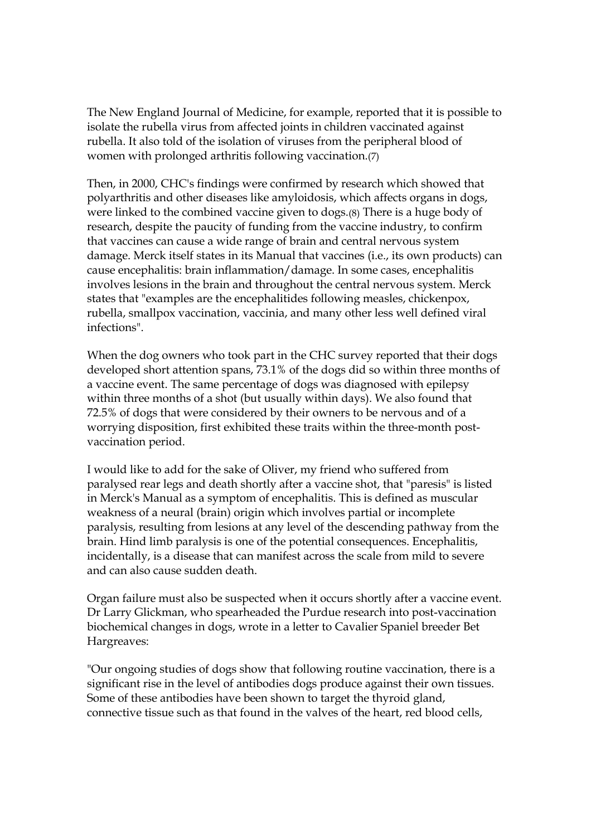The New England Journal of Medicine, for example, reported that it is possible to isolate the rubella virus from affected joints in children vaccinated against rubella. It also told of the isolation of viruses from the peripheral blood of women with prolonged arthritis following vaccination.(7)

Then, in 2000, CHC's findings were confirmed by research which showed that polyarthritis and other diseases like amyloidosis, which affects organs in dogs, were linked to the combined vaccine given to dogs.(8) There is a huge body of research, despite the paucity of funding from the vaccine industry, to confirm that vaccines can cause a wide range of brain and central nervous system damage. Merck itself states in its Manual that vaccines (i.e., its own products) can cause encephalitis: brain inflammation/damage. In some cases, encephalitis involves lesions in the brain and throughout the central nervous system. Merck states that "examples are the encephalitides following measles, chickenpox, rubella, smallpox vaccination, vaccinia, and many other less well defined viral infections".

When the dog owners who took part in the CHC survey reported that their dogs developed short attention spans, 73.1% of the dogs did so within three months of a vaccine event. The same percentage of dogs was diagnosed with epilepsy within three months of a shot (but usually within days). We also found that 72.5% of dogs that were considered by their owners to be nervous and of a worrying disposition, first exhibited these traits within the three-month postvaccination period.

I would like to add for the sake of Oliver, my friend who suffered from paralysed rear legs and death shortly after a vaccine shot, that "paresis" is listed in Merck's Manual as a symptom of encephalitis. This is defined as muscular weakness of a neural (brain) origin which involves partial or incomplete paralysis, resulting from lesions at any level of the descending pathway from the brain. Hind limb paralysis is one of the potential consequences. Encephalitis, incidentally, is a disease that can manifest across the scale from mild to severe and can also cause sudden death.

Organ failure must also be suspected when it occurs shortly after a vaccine event. Dr Larry Glickman, who spearheaded the Purdue research into post-vaccination biochemical changes in dogs, wrote in a letter to Cavalier Spaniel breeder Bet Hargreaves:

"Our ongoing studies of dogs show that following routine vaccination, there is a significant rise in the level of antibodies dogs produce against their own tissues. Some of these antibodies have been shown to target the thyroid gland, connective tissue such as that found in the valves of the heart, red blood cells,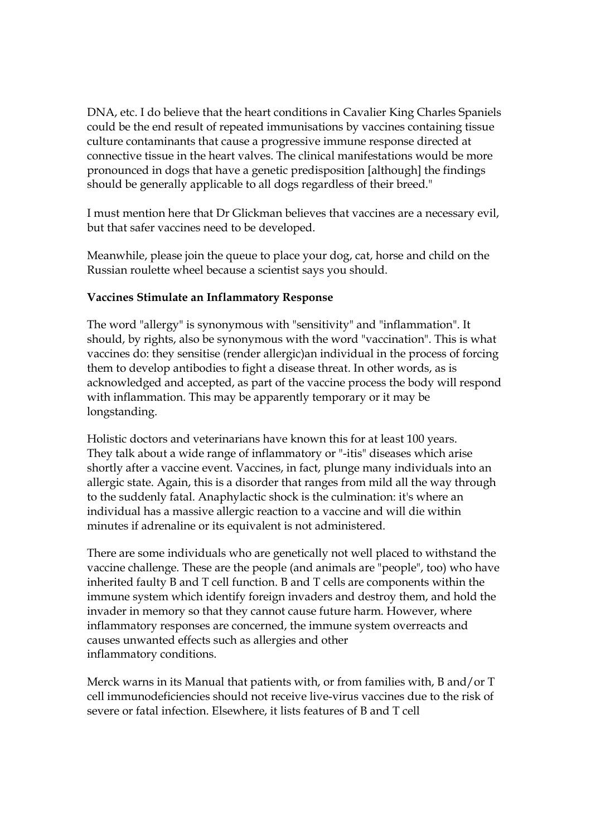DNA, etc. I do believe that the heart conditions in Cavalier King Charles Spaniels could be the end result of repeated immunisations by vaccines containing tissue culture contaminants that cause a progressive immune response directed at connective tissue in the heart valves. The clinical manifestations would be more pronounced in dogs that have a genetic predisposition [although] the findings should be generally applicable to all dogs regardless of their breed."

I must mention here that Dr Glickman believes that vaccines are a necessary evil, but that safer vaccines need to be developed.

Meanwhile, please join the queue to place your dog, cat, horse and child on the Russian roulette wheel because a scientist says you should.

## **Vaccines Stimulate an Inflammatory Response**

The word "allergy" is synonymous with "sensitivity" and "inflammation". It should, by rights, also be synonymous with the word "vaccination". This is what vaccines do: they sensitise (render allergic)an individual in the process of forcing them to develop antibodies to fight a disease threat. In other words, as is acknowledged and accepted, as part of the vaccine process the body will respond with inflammation. This may be apparently temporary or it may be longstanding.

Holistic doctors and veterinarians have known this for at least 100 years. They talk about a wide range of inflammatory or "-itis" diseases which arise shortly after a vaccine event. Vaccines, in fact, plunge many individuals into an allergic state. Again, this is a disorder that ranges from mild all the way through to the suddenly fatal. Anaphylactic shock is the culmination: it's where an individual has a massive allergic reaction to a vaccine and will die within minutes if adrenaline or its equivalent is not administered.

There are some individuals who are genetically not well placed to withstand the vaccine challenge. These are the people (and animals are "people", too) who have inherited faulty B and T cell function. B and T cells are components within the immune system which identify foreign invaders and destroy them, and hold the invader in memory so that they cannot cause future harm. However, where inflammatory responses are concerned, the immune system overreacts and causes unwanted effects such as allergies and other inflammatory conditions.

Merck warns in its Manual that patients with, or from families with, B and/or T cell immunodeficiencies should not receive live-virus vaccines due to the risk of severe or fatal infection. Elsewhere, it lists features of B and T cell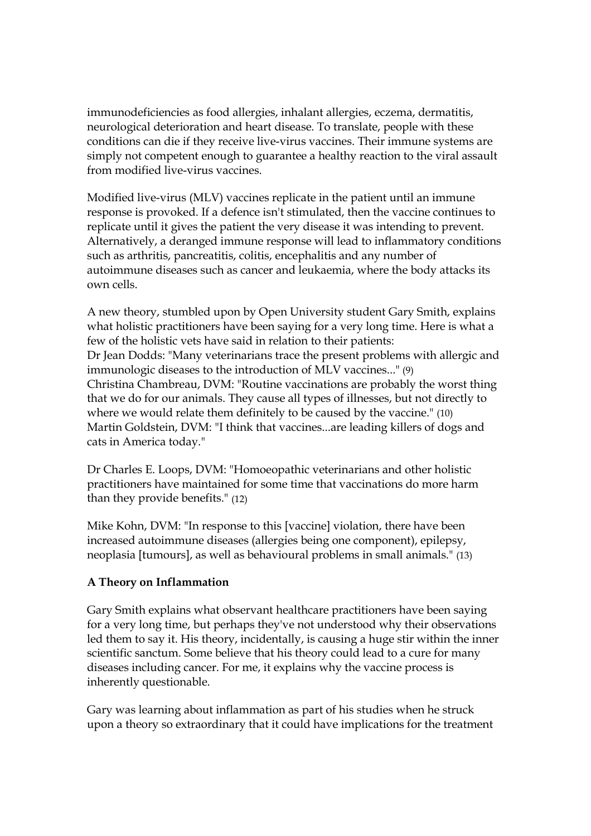immunodeficiencies as food allergies, inhalant allergies, eczema, dermatitis, neurological deterioration and heart disease. To translate, people with these conditions can die if they receive live-virus vaccines. Their immune systems are simply not competent enough to guarantee a healthy reaction to the viral assault from modified live-virus vaccines.

Modified live-virus (MLV) vaccines replicate in the patient until an immune response is provoked. If a defence isn't stimulated, then the vaccine continues to replicate until it gives the patient the very disease it was intending to prevent. Alternatively, a deranged immune response will lead to inflammatory conditions such as arthritis, pancreatitis, colitis, encephalitis and any number of autoimmune diseases such as cancer and leukaemia, where the body attacks its own cells.

A new theory, stumbled upon by Open University student Gary Smith, explains what holistic practitioners have been saying for a very long time. Here is what a few of the holistic vets have said in relation to their patients: Dr Jean Dodds: "Many veterinarians trace the present problems with allergic and immunologic diseases to the introduction of MLV vaccines..." (9) Christina Chambreau, DVM: "Routine vaccinations are probably the worst thing that we do for our animals. They cause all types of illnesses, but not directly to where we would relate them definitely to be caused by the vaccine." (10) Martin Goldstein, DVM: "I think that vaccines...are leading killers of dogs and cats in America today."

Dr Charles E. Loops, DVM: "Homoeopathic veterinarians and other holistic practitioners have maintained for some time that vaccinations do more harm than they provide benefits." (12)

Mike Kohn, DVM: "In response to this [vaccine] violation, there have been increased autoimmune diseases (allergies being one component), epilepsy, neoplasia [tumours], as well as behavioural problems in small animals." (13)

## **A Theory on Inflammation**

Gary Smith explains what observant healthcare practitioners have been saying for a very long time, but perhaps they've not understood why their observations led them to say it. His theory, incidentally, is causing a huge stir within the inner scientific sanctum. Some believe that his theory could lead to a cure for many diseases including cancer. For me, it explains why the vaccine process is inherently questionable.

Gary was learning about inflammation as part of his studies when he struck upon a theory so extraordinary that it could have implications for the treatment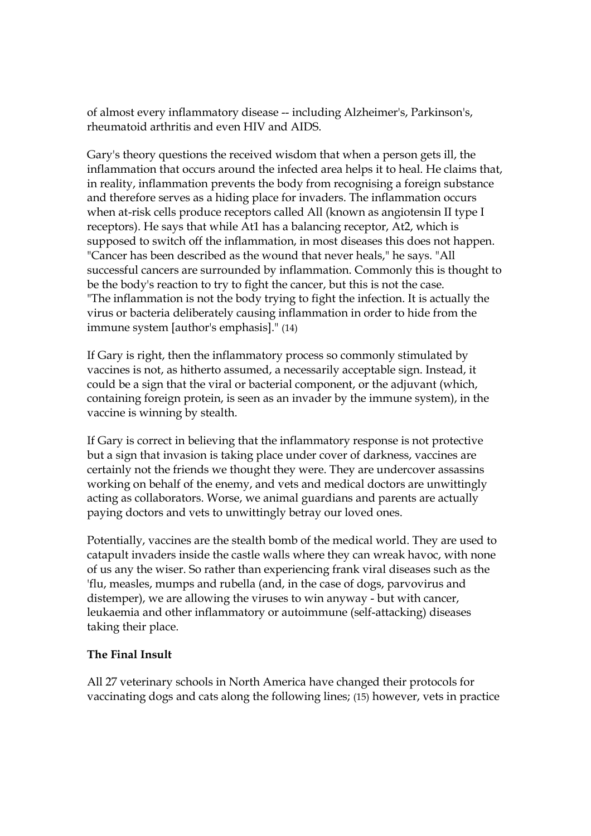of almost every inflammatory disease -- including Alzheimer's, Parkinson's, rheumatoid arthritis and even HIV and AIDS.

Gary's theory questions the received wisdom that when a person gets ill, the inflammation that occurs around the infected area helps it to heal. He claims that, in reality, inflammation prevents the body from recognising a foreign substance and therefore serves as a hiding place for invaders. The inflammation occurs when at-risk cells produce receptors called All (known as angiotensin II type I receptors). He says that while At1 has a balancing receptor, At2, which is supposed to switch off the inflammation, in most diseases this does not happen. "Cancer has been described as the wound that never heals," he says. "All successful cancers are surrounded by inflammation. Commonly this is thought to be the body's reaction to try to fight the cancer, but this is not the case. "The inflammation is not the body trying to fight the infection. It is actually the virus or bacteria deliberately causing inflammation in order to hide from the immune system [author's emphasis]." (14)

If Gary is right, then the inflammatory process so commonly stimulated by vaccines is not, as hitherto assumed, a necessarily acceptable sign. Instead, it could be a sign that the viral or bacterial component, or the adjuvant (which, containing foreign protein, is seen as an invader by the immune system), in the vaccine is winning by stealth.

If Gary is correct in believing that the inflammatory response is not protective but a sign that invasion is taking place under cover of darkness, vaccines are certainly not the friends we thought they were. They are undercover assassins working on behalf of the enemy, and vets and medical doctors are unwittingly acting as collaborators. Worse, we animal guardians and parents are actually paying doctors and vets to unwittingly betray our loved ones.

Potentially, vaccines are the stealth bomb of the medical world. They are used to catapult invaders inside the castle walls where they can wreak havoc, with none of us any the wiser. So rather than experiencing frank viral diseases such as the 'flu, measles, mumps and rubella (and, in the case of dogs, parvovirus and distemper), we are allowing the viruses to win anyway - but with cancer, leukaemia and other inflammatory or autoimmune (self-attacking) diseases taking their place.

## **The Final Insult**

All 27 veterinary schools in North America have changed their protocols for vaccinating dogs and cats along the following lines; (15) however, vets in practice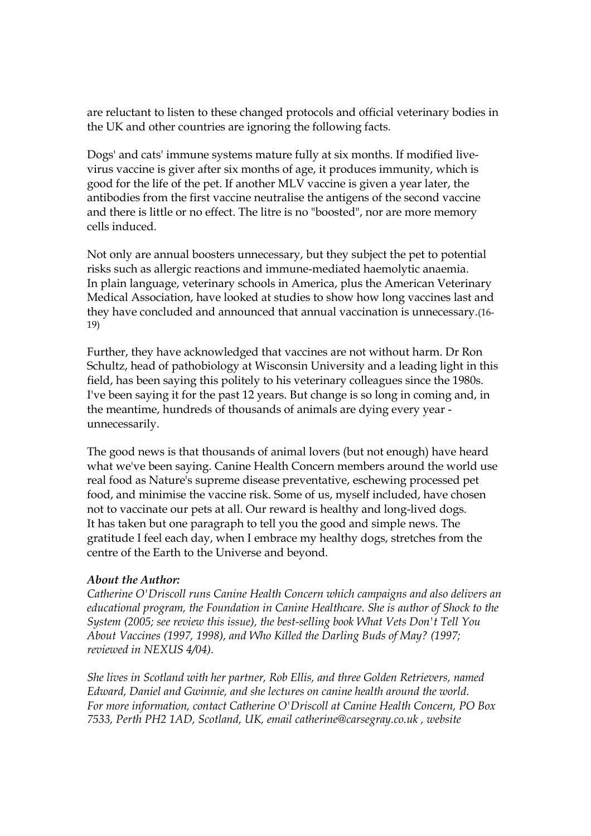are reluctant to listen to these changed protocols and official veterinary bodies in the UK and other countries are ignoring the following facts.

Dogs' and cats' immune systems mature fully at six months. If modified livevirus vaccine is giver after six months of age, it produces immunity, which is good for the life of the pet. If another MLV vaccine is given a year later, the antibodies from the first vaccine neutralise the antigens of the second vaccine and there is little or no effect. The litre is no "boosted", nor are more memory cells induced.

Not only are annual boosters unnecessary, but they subject the pet to potential risks such as allergic reactions and immune-mediated haemolytic anaemia. In plain language, veterinary schools in America, plus the American Veterinary Medical Association, have looked at studies to show how long vaccines last and they have concluded and announced that annual vaccination is unnecessary.(16- 19)

Further, they have acknowledged that vaccines are not without harm. Dr Ron Schultz, head of pathobiology at Wisconsin University and a leading light in this field, has been saying this politely to his veterinary colleagues since the 1980s. I've been saying it for the past 12 years. But change is so long in coming and, in the meantime, hundreds of thousands of animals are dying every year unnecessarily.

The good news is that thousands of animal lovers (but not enough) have heard what we've been saying. Canine Health Concern members around the world use real food as Nature's supreme disease preventative, eschewing processed pet food, and minimise the vaccine risk. Some of us, myself included, have chosen not to vaccinate our pets at all. Our reward is healthy and long-lived dogs. It has taken but one paragraph to tell you the good and simple news. The gratitude I feel each day, when I embrace my healthy dogs, stretches from the centre of the Earth to the Universe and beyond.

#### *About the Author:*

*Catherine O'Driscoll runs Canine Health Concern which campaigns and also delivers an educational program, the Foundation in Canine Healthcare. She is author of Shock to the System (2005; see review this issue), the best-selling book What Vets Don't Tell You About Vaccines (1997, 1998), and Who Killed the Darling Buds of May? (1997; reviewed in NEXUS 4/04).*

*She lives in Scotland with her partner, Rob Ellis, and three Golden Retrievers, named Edward, Daniel and Gwinnie, and she lectures on canine health around the world. For more information, contact Catherine O'Driscoll at Canine Health Concern, PO Box 7533, Perth PH2 1AD, Scotland, UK, email catherine@carsegray.co.uk , website*